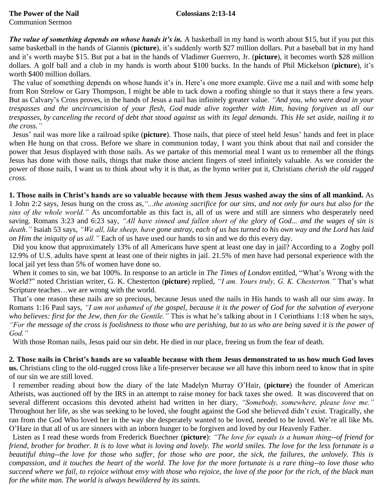## **The Power of the Nail Colossians 2:13-14** Communion Sermon

*The value of something depends on whose hands it's in.* A basketball in my hand is worth about \$15, but if you put this same basketball in the hands of Giannis (**picture**), it's suddenly worth \$27 million dollars. Put a baseball bat in my hand and it's worth maybe \$15. But put a bat in the hands of Vladimer Guerrero, Jr. (**picture**), it becomes worth \$28 million dollars. A golf ball and a club in my hands is worth about \$100 bucks. In the hands of Phil Mickelson (**picture**), it's worth \$400 million dollars.

 The value of something depends on whose hands it's in. Here's one more example. Give me a nail and with some help from Ron Strelow or Gary Thompson, I might be able to tack down a roofing shingle so that it stays there a few years. But as Calvary's Cross proves, in the hands of Jesus a nail has infinitely greater value. *"And you, who were dead in your trespasses and the uncircumcision of your flesh, God made alive together with Him, having forgiven us all our trespasses, by canceling the record of debt that stood against us with its legal demands. This He set aside, nailing it to the cross."*

 Jesus' nail was more like a railroad spike (**picture**). Those nails, that piece of steel held Jesus' hands and feet in place when He hung on that cross. Before we share in communion today, I want you think about that nail and consider the power that Jesus displayed with those nails. As we partake of this memorial meal I want us to remember all the things Jesus has done with those nails, things that make those ancient fingers of steel infinitely valuable. As we consider the power of those nails, I want us to think about why it is that, as the hymn writer put it, Christians *cherish the old rugged cross.*

**1. Those nails in Christ's hands are so valuable because with them Jesus washed away the sins of all mankind.** As 1 John 2:2 says, Jesus hung on the cross as,*"...the atoning sacrifice for our sins, and not only for ours but also for the sins of the whole world."* As uncomfortable as this fact is, all of us were and still are sinners who desperately need saving. Romans 3:23 and 6:23 say, *"All have sinned and fallen short of the glory of God... and the wages of sin is death."* Isaiah 53 says, *"We all, like sheep, have gone astray, each of us has turned to his own way and the Lord has laid on Him the iniquity of us all."* Each of us have used our hands to sin and we do this every day.

 Did you know that approximately 13% of all Americans have spent at least one day in jail? According to a Zogby poll 12.9% of U.S. adults have spent at least one of their nights in jail. 21.5% of men have had personal experience with the local jail yet less than 5% of women have done so.

 When it comes to sin, we bat 100%. In response to an article in *The Times of London* entitled, "What's Wrong with the World?" noted Christian writer, G. K. Chesterton (**picture**) replied, *"I am. Yours truly, G. K. Chesterton."* That's what Scripture teaches…we are wrong with the world.

 That's one reason these nails are so precious, because Jesus used the nails in His hands to wash all our sins away. In Romans 1:16 Paul says, *"I am not ashamed of the gospel, because it is the power of God for the salvation of everyone who believes: first for the Jew, then for the Gentile."* This is what he's talking about in 1 Corinthians 1:18 when he says, *"For the message of the cross is foolishness to those who are perishing, but to us who are being saved it is the power of God."*

With those Roman nails, Jesus paid our sin debt. He died in our place, freeing us from the fear of death.

**2. Those nails in Christ's hands are so valuable because with them Jesus demonstrated to us how much God loves us.** Christians cling to the old-rugged cross like a life-preserver because we all have this inborn need to know that in spite of our sin we are still loved.

 I remember reading about how the diary of the late Madelyn Murray O'Hair, (**picture**) the founder of American Atheists, was auctioned off by the IRS in an attempt to raise money for back taxes she owed. It was discovered that on several different occasions this devoted atheist had written in her diary, *"Somebody, somewhere, please love me."* Throughout her life, as she was seeking to be loved, she fought against the God she believed didn't exist. Tragically, she ran from the God Who loved her in the way she desperately wanted to be loved, needed to be loved. We're all like Ms. O'Hare in that all of us are sinners with an inborn hunger to be forgiven and loved by our Heavenly Father.

 Listen as I read these words from Frederick Buechner (**picture**): *"The love for equals is a human thing--of friend for friend, brother for brother. It is to love what is loving and lovely. The world smiles. The love for the less fortunate is a*  beautiful thing--the love for those who suffer, for those who are poor, the sick, the failures, the unlovely. This is *compassion, and it touches the heart of the world. The love for the more fortunate is a rare thing--to love those who succeed where we fail, to rejoice without envy with those who rejoice, the love of the poor for the rich, of the black man for the white man. The world is always bewildered by its saints.*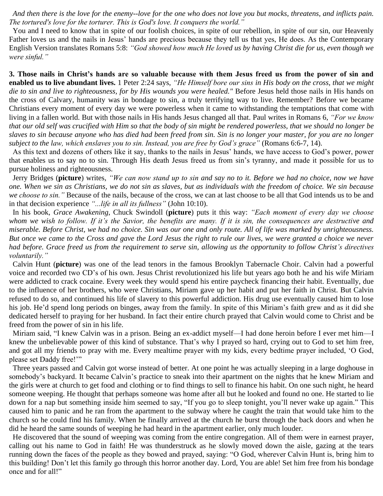*And then there is the love for the enemy--love for the one who does not love you but mocks, threatens, and inflicts pain. The tortured's love for the torturer. This is God's love. It conquers the world."*

 You and I need to know that in spite of our foolish choices, in spite of our rebellion, in spite of our sin, our Heavenly Father loves us and the nails in Jesus' hands are precious because they tell us that yes, He does. As the Contemporary English Version translates Romans 5:8: *"God showed how much He loved us by having Christ die for us, even though we were sinful."*

**3. Those nails in Christ's hands are so valuable because with them Jesus freed us from the power of sin and enabled us to live abundant lives.** 1 Peter 2:24 says, *"He Himself bore our sins in His body on the cross, that we might die to sin and live to righteousness, for by His wounds you were healed."* Before Jesus held those nails in His hands on the cross of Calvary, humanity was in bondage to sin, a truly terrifying way to live. Remember? Before we became Christians every moment of every day we were powerless when it came to withstanding the temptations that come with living in a fallen world. But with those nails in His hands Jesus changed all that. Paul writes in Romans 6, *"For we know that our old self was crucified with Him so that the body of sin might be rendered powerless, that we should no longer be slaves to sin because anyone who has died had been freed from sin. Sin is no longer your master, for you are no longer subject to the law, which enslaves you to sin. Instead, you are free by God's grace"* (Romans 6:6-7, 14).

 As this text and dozens of others like it say, thanks to the nails in Jesus' hands, we have access to God's power, power that enables us to say no to sin. Through His death Jesus freed us from sin's tyranny, and made it possible for us to pursue holiness and righteousness.

 Jerry Bridges (**picture**) writes, *"We can now stand up to sin and say no to it. Before we had no choice, now we have one. When we sin as Christians, we do not sin as slaves, but as individuals with the freedom of choice. We sin because we choose to sin."* Because of the nails, because of the cross, we can at last choose to be all that God intends us to be and in that decision experience *"...life in all its fullness"* (John 10:10).

 In his book, *Grace Awakening*, Chuck Swindoll (**picture**) puts it this way: *"Each moment of every day we choose whom we wish to follow. If it's the Savior, the benefits are many. If it is sin, the consequences are destructive and miserable. Before Christ, we had no choice. Sin was our one and only route. All of life was marked by unrighteousness. But once we came to the Cross and gave the Lord Jesus the right to rule our lives, we were granted a choice we never had before. Grace freed us from the requirement to serve sin, allowing us the opportunity to follow Christ's directives voluntarily."*

 Calvin Hunt (**picture**) was one of the lead tenors in the famous Brooklyn Tabernacle Choir. Calvin had a powerful voice and recorded two CD's of his own. Jesus Christ revolutionized his life but years ago both he and his wife Miriam were addicted to crack cocaine. Every week they would spend his entire paycheck financing their habit. Eventually, due to the influence of her brothers, who were Christians, Miriam gave up her habit and put her faith in Christ. But Calvin refused to do so, and continued his life of slavery to this powerful addiction. His drug use eventually caused him to lose his job. He'd spend long periods on binges, away from the family. In spite of this Miriam's faith grew and as it did she dedicated herself to praying for her husband. In fact their entire church prayed that Calvin would come to Christ and be freed from the power of sin in his life.

 Miriam said, "I knew Calvin was in a prison. Being an ex-addict myself—I had done heroin before I ever met him—I knew the unbelievable power of this kind of substance. That's why I prayed so hard, crying out to God to set him free, and got all my friends to pray with me. Every mealtime prayer with my kids, every bedtime prayer included, 'O God, please set Daddy free!'"

 Three years passed and Calvin got worse instead of better. At one point he was actually sleeping in a large doghouse in somebody's backyard. It became Calvin's practice to sneak into their apartment on the nights that he knew Miriam and the girls were at church to get food and clothing or to find things to sell to finance his habit. On one such night, he heard someone weeping. He thought that perhaps someone was home after all but he looked and found no one. He started to lie down for a nap but something inside him seemed to say, "If you go to sleep tonight, you'll never wake up again." This caused him to panic and he ran from the apartment to the subway where he caught the train that would take him to the church so he could find his family. When he finally arrived at the church he burst through the back doors and when he did he heard the same sounds of weeping he had heard in the apartment earlier, only much louder.

 He discovered that the sound of weeping was coming from the entire congregation. All of them were in earnest prayer, calling out his name to God in faith! He was thunderstruck as he slowly moved down the aisle, gazing at the tears running down the faces of the people as they bowed and prayed, saying: "O God, wherever Calvin Hunt is, bring him to this building! Don't let this family go through this horror another day. Lord, You are able! Set him free from his bondage once and for all!"